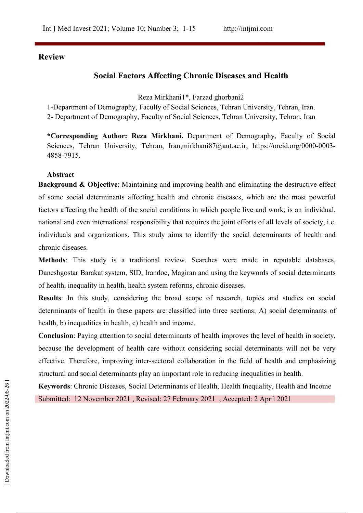# **Review**

# **Social Factors Affecting Chronic Diseases and Health**

Reza Mirkhani1\*, Farzad ghorbani2

1-Department of Demography, Faculty of Social Sciences, Tehran University, Tehran, Iran. 2- Department of Demography, Faculty of Social Sciences, Tehran University, Tehran, Iran

**\*Corresponding Author: Reza Mirkhani.** Department of Demography, Faculty of Social Sciences, Tehran University, Tehran, Iran,mirkhani87@aut.ac.ir, https://orcid.org/0000-0003-4858-7915.

## **Abstract**

**Background & Objective**: Maintaining and improving health and eliminating the destructive effect of some social determinants affecting health and chronic diseases, which are the most powerful factors affecting the health of the social conditions in which people live and work, is an individual, national and even international responsibility that requires the joint efforts of all levels of society, i.e. individuals and organizations. This study aims to identify the social determinants of health and chronic diseases.

**Methods**: This study is a traditional review. Searches were made in reputable databases, Daneshgostar Barakat system, SID, Irandoc, Magiran and using the keywords of social determinants of health, inequality in health, health system reforms, chronic diseases.

**Results**: In this study, considering the broad scope of research, topics and studies on social determinants of health in these papers are classified into three sections; A) social determinants of health, b) inequalities in health, c) health and income.

**Conclusion**: Paying attention to social determinants of health improves the level of health in society, because the development of health care without considering social determinants will not be very effective. Therefore, improving inter-sectoral collaboration in the field of health and emphasizing structural and social determinants play an important role in reducing inequalities in health.

**Keywords**: Chronic Diseases, Social Determinants of Health, Health Inequality, Health and Income Submitted: 12 November 2021 , Revised: 27 February 2021 , Accepted: 2 April 2021<br>Submitted: 12 November 2021 , Revised: 27 February 2021 , Accepted: 2 April 2021<br> $\frac{2}{5}$ <br> $\frac{2}{5}$ <br> $\frac{2}{5}$ <br> $\frac{2}{5}$ <br> $\frac{2}{5}$ <br> $\frac{2}{5}$ <br>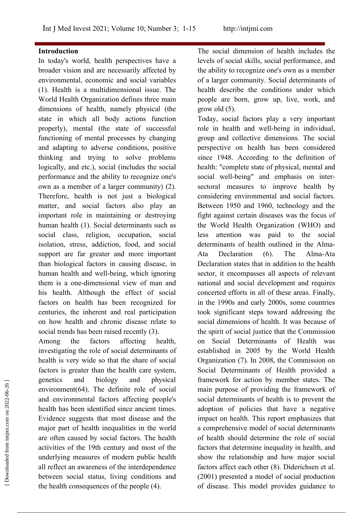#### **Introduction**

In today's world, health perspectives have a broader vision and are necessarily affected by environmental, economic and social variables (1). Health is a multidimensional issue. The World Health Organization defines three main dimensions of health, namely physical (the state in which all body actions function properly), mental (the state of successful functioning of mental processes by changing and adapting to adverse conditions, positive thinking and trying to solve problems logically, and etc.), social (includes the social performance and the ability to recognize one's own as a member of a larger community) (2). Therefore, health is not just a biological matter, and social factors also play an important role in maintaining or destroying human health (1). Social determinants such as social class, religion, occupation, social isolation, stress, addiction, food, and social support are far greater and more important Ata than biological factors in causing disease, in human health and well-being, which ignoring them is a one-dimensional view of man and his health. Although the effect of social factors on health has been recognized for centuries, the inherent and real participation on how health and chronic disease relate to social trends has been raised recently (3).

Among the factors affecting health, investigating the role of social determinants of health is very wide so that the share of social factors is greater than the health care system, genetics and biology and physical environment(64). The definite role of social and environmental factors affecting people's health has been identified since ancient times. Evidence suggests that most disease and the major part of health inequalities in the world are often caused by social factors. The health activities of the 19th century and most of the underlying measures of modern public health all reflect an awareness of the interdependence between social status, living conditions and (2001) presented a model of social production the health consequences of the people (4).

The social dimension of health includes the levels of social skills, social performance, and the ability to recognize one's own as a member of a larger community. Social determinants of health describe the conditions under which people are born, grow up, live, work, and grow old (5).

Today, social factors play a very important role in health and well-being in individual, group and collective dimensions. The social perspective on health has been considered since 1948. According to the definition of health: "complete state of physical, mental and social well-being" and emphasis on inter sectoral measures to improve health by considering environmental and social factors. Between 1950 and 1960, technology and the fight against certain diseases was the focus of the World Health Organization (WHO) and attention was paid to the social determinants of health outlined in the Alma- Declaration (6). The Alma-Ata Declaration states that in addition to the health sector, it encompasses all aspects of relevant national and social development and requires concerted efforts in all of these areas. Finally, in the 1990s and early 2000s, some countries took significant steps toward addressing the social dimensions of health. It was because of the spirit of social justice that the Commission on Social Determinants of Health was established in 2005 by the World Health Organization (7). In 2008, the Commission on Social Determinants of Health provided a framework for action by member states. The main purpose of providing the framework of social determinants of health is to prevent the adoption of policies that have a negative impact on health. This report emphasizes that a comprehensive model of social determinants of health should determine the role of social factors that determine inequality in health, and show the relationship and how major social factors affect each other (8). Diderichsen et al. genetics and biology and physical ramework for action by member states. The<br>environment(64). The definite role of social main purpose of providing the framework of<br>and environmental factors affecting people's social deter of disease. This model provides guidance to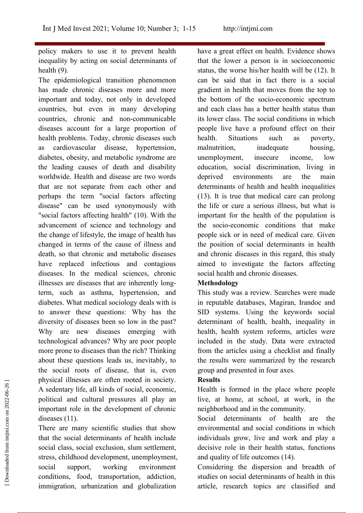policy makers to use it to prevent health inequality by acting on social determinants of health (9).

The epidemiological transition phenomenon has made chronic diseases more and more important and today, not only in developed countries, but even in many developing countries, chronic and non-communicable diseases account for a large proportion of health problems. Today, chronic diseases such as cardiovascular disease, hypertension, diabetes, obesity, and metabolic syndrome are the leading causes of death and disability worldwide. Health and disease are two words that are not separate from each other and perhaps the term "social factors affecting disease" can be used synonymously with "social factors affecting health" (10). With the advancement of science and technology and the change of lifestyle, the image of health has changed in terms of the cause of illness and death, so that chronic and metabolic diseases have replaced infectious and contagious diseases. In the medical sciences, chronic illnesses are diseases that are inherently longterm, such as asthma, hypertension, and diabetes. What medical sociology deals with is to answer these questions: Why has the diversity of diseases been so low in the past? Why are new diseases emerging with technological advances? Why are poor people more prone to diseases than the rich? Thinking about these questions leads us, inevitably, to the social roots of disease, that is, even physical illnesses are often rooted in society. A sedentary life, all kinds of social, economic, political and cultural pressures all play an important role in the development of chronic diseases (11).

There are many scientific studies that show that the social determinants of health include social class, social exclusion, slum settlement, stress, childhood development, unemployment, social support, working environment conditions, food, transportation, addiction, studies on social determinants of health in this immigration, urbanization and globalization mysical linesses are often rooted in society.<br>
A sedentary life, all kinds of social, economic,<br>
Health is formed in the place where people<br>
political and cultural pressures all play an<br>
live, at home, at school, at work,

have a great effect on health. Evidence shows that the lower a person is in socioeconomic status, the worse his/her health will be (12). It can be said that in fact there is a social gradient in health that moves from the top to the bottom of the socio-economic spectrum and each class has a better health status than its lower class. The social conditions in which people live have a profound effect on their Situations such as poverty, malnutrition, inadequate housing, unemployment, insecure income, low education, social discrimination, living in environments are the main determinants of health and health inequalities (13). It is true that medical care can prolong the life or cure a serious illness, but what is important for the health of the population is the socio-economic conditions that make people sick or in need of medical care. Given the position of social determinants in health and chronic diseases in this regard, this study aimed to investigate the factors affecting social health and chronic diseases.

# **Methodology**

This study was a review. Searches were made in reputable databases, Magiran, Irandoc and SID systems. Using the keywords social determinant of health, health, inequality in health, health system reforms, articles were included in the study. Data were extracted from the articles using a checklist and finally the results were summarized by the research group and presented in four axes.

# **Results**

Health is formed in the place where people live, at home, at school, at work, in the neighborhood and in the community.

Social determinants of health are the environmental and social conditions in which individuals grow, live and work and play a decisive role in their health status, functions and quality of life outcomes (14).

Considering the dispersion and breadth of article, research topics are classified and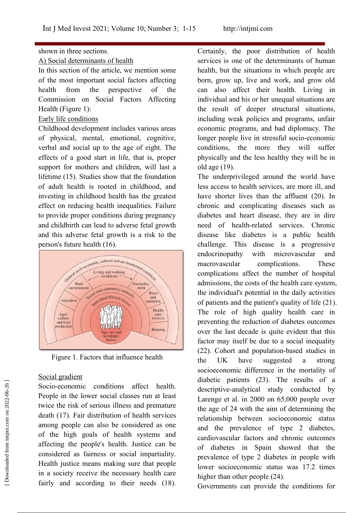# shown in three sections.<br>A) Social determinants of health

In this section of the article, we mention some of the most important social factors affecting Commission on Social Factors Affecting Health (Figure 1):

# Early life conditions

Childhood development includes various areas of physical, mental, emotional, cognitive, verbal and social up to the age of eight. The effects of a good start in life, that is, proper support for mothers and children, will last a lifetime (15). Studies show that the foundation of adult health is rooted in childhood, and investing in childhood health has the greatest effect on reducing health inequalities. Failure to provide proper conditions during pregnancy and childbirth can lead to adverse fetal growth and this adverse fetal growth is a risk to the person's future health (16).



Figure 1. Factors that influence health  $\theta$  the UK

# Social gradient

Socio-economic conditions affect health. People in the lower social classes run at least twice the risk of serious illness and premature death (17). Fair distribution of health services among people can also be considered as one of the high goals of health systems and affecting the people's health. Justice can be considered as fairness or social impartiality. Health justice means making sure that people in a society receive the necessary health care fairly and according to their needs  $(18)$ . Governments can provide the conditions for Socio-economic conditions affect health.<br>
Prople in the lower social classes run at least<br>
twice the risk of serious illness and premature<br>
death (17). Fair distribution of health services<br>
among people can also be conside

health from the perspective of the can also affect their health. Living in Certainly, the poor distribution of health services is one of the determinants of human health, but the situations in which people are born, grow up, live and work, and grow old individual and his or her unequal situations are the result of deeper structural situations, including weak policies and programs, unfair economic programs, and bad diplomacy. The longer people live in stressful socio-economic conditions, the more they will suffer physically and the less healthy they will be in old age (19).

> The underprivileged around the world have less access to health services, are more ill, and have shorter lives than the affluent (20). In chronic and complicating diseases such as diabetes and heart disease, they are in dire need of health-related services. Chronic disease like diabetes is a public health challenge. This disease is a progressive endocrinopathy with microvascular and macrovascular complications. These complications affect the number of hospital admissions, the costs of the health care system, the individual's potential in the daily activities of patients and the patient's quality of life (21). The role of high quality health care in preventing the reduction of diabetes outcomes over the last decade is quite evident that this factor may itself be due to a social inequality (22). Cohort and population-based studies in have suggested a strong socioeconomic difference in the mortality of diabetic patients (23). The results of a descriptive-analytical study conducted by Larenge et al. in 2000 on 65,000 people over the age of 24 with the aim of determining the relationship between socioeconomic status and the prevalence of type 2 diabetes, cardiovascular factors and chronic outcomes of diabetes in Spain showed that the prevalence of type 2 diabetes in people with lower socioeconomic status was 17.2 times higher than other people  $(24)$ .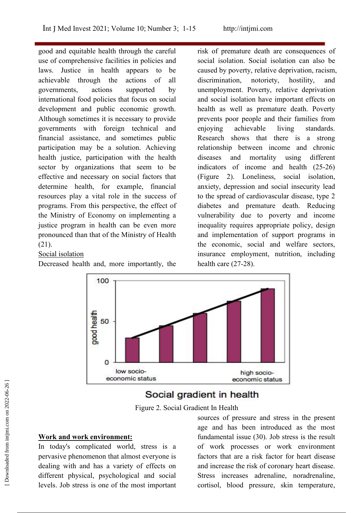good and equitable health through the careful use of comprehensive facilities in policies and laws. Justice in health appears to be achievable through the actions of all governments, actions supported by unemployment. Poverty, relative deprivation international food policies that focus on social development and public economic growth. Although sometimes it is necessary to provide governments with foreign technical and financial assistance, and sometimes public participation may be a solution. Achieving health justice, participation with the health sector by organizations that seem to be effective and necessary on social factors that determine health, for example, financial resources play a vital role in the success of programs. From this perspective, the effect of the Ministry of Economy on implementing a justice program in health can be even more pronounced than that of the Ministry of Health (21).

#### Social isolation

Decreased health and, more importantly, the

risk of premature death are consequences of social isolation. Social isolation can also be caused by poverty, relative deprivation, racism, discrimination, notoriety, hostility, and and social isolation have important effects on health as well as premature death. Poverty prevents poor people and their families from achievable living standards. Research shows that there is a strong relationship between income and chronic diseases and mortality using different indicators of income and health (25-26) (Figure 2). Loneliness, social isolation, anxiety, depression and social insecurity lead to the spread of cardiovascular disease, type 2 diabetes and premature death. Reducing vulnerability due to poverty and income inequality requires appropriate policy, design and implementation of support programs in the economic, social and welfare sectors, insurance employment, nutrition, including health care (27-28).



Figure 2. Social [Gradient](https://www.google.com/url?sa=i&url=https%3A%2F%2Fslidesharetrick.blogspot.com%2F2019%2F12%2Fsocial-gradient-in-health.html&psig=AOvVaw1u28qRSNw3t8tkg1-blE43&ust=1619955000261000&source=images&cd=vfe&ved=0CA0QjhxqFwoTCLDFwuKwqPACFQAAAAAdAAAAABA5) In Health

#### **Work and work environment:**

In today's complicated world, stress is a pervasive phenomenon that almost everyone is dealing with and has a variety of effects on different physical, psychological and social Stress increases adrenaline, noradrenaline, levels. Job stress is one of the most important

sources of pressure and stress in the present age and has been introduced as the most fundamental issue (30). Job stress is the result of work processes or work environment factors that are a risk factor for heart disease and increase the risk of coronary heart disease. Social gradient in health<br>
Figure 2. Social Gradient In Health<br>
Social Gradient In Health<br>
Social Gradient In Health<br>
Social Gradient In Health<br>
Societize and has been introduced as the mesent<br>
Mork and work environment:<br> cortisol, blood pressure, skin temperature,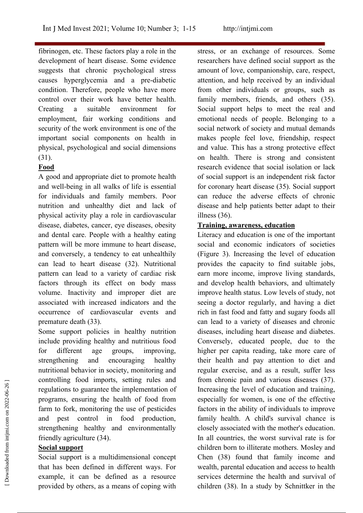fibrinogen, etc. These factors play a role in the development of heart disease. Some evidence suggests that chronic psychological stress causes hyperglycemia and a pre-diabetic condition. Therefore, people who have more control over their work have better health. family members, friends, and others (35). Creating a suitable environment for employment, fair working conditions and security of the work environment is one of the important social components on health in physical, psychological and social dimensions (31).

# **Food**

A good and appropriate diet to promote health and well-being in all walks of life is essential for individuals and family members. Poor nutrition and unhealthy diet and lack of physical activity play a role in cardiovascular disease, diabetes, cancer, eye diseases, obesity and dental care. People with a healthy eating pattern will be more immune to heart disease, and conversely, a tendency to eat unhealthily can lead to heart disease (32). Nutritional pattern can lead to a variety of cardiac risk factors through its effect on body mass volume. Inactivity and improper diet are associated with increased indicators and the occurrence of cardiovascular events and premature death (33).

Some support policies in healthy nutrition include providing healthy and nutritious food for different age groups, improving, nutritional behavior in society, monitoring and controlling food imports, setting rules and regulations to guarantee the implementation of programs, ensuring the health of food from farm to fork, monitoring the use of pesticides and pest control in food production, strengthening healthy and environmentally friendly agriculture (34).

# **Social support**

Social support is a multidimensional concept that has been defined in different ways. For example, it can be defined as a resource services determine the health and survival of provided by others, as a means of coping with

stress, or an exchange of resources. Some researchers have defined social support as the amount of love, companionship, care, respect, attention, and help received by an individual from other individuals or groups, such as Social support helps to meet the real and emotional needs of people. Belonging to a social network of society and mutual demands makes people feel love, friendship, respect and value. This has a strong protective effect on health. There is strong and consistent research evidence that social isolation or lack of social support is an independent risk factor for coronary heart disease (35). Social support can reduce the adverse effects of chronic disease and help patients better adapt to their illness (36).

# **Training, awareness, education**

strengthening and encouraging healthy their health and pay attention to diet and Literacy and education is one of the important social and economic indicators of societies (Figure 3). Increasing the level of education provides the capacity to find suitable jobs, earn more income, improve living standards, and develop health behaviors, and ultimately improve health status. Low levels of study, not seeing a doctor regularly, and having a diet rich in fast food and fatty and sugary foods all can lead to a variety of diseases and chronic diseases, including heart disease and diabetes. Conversely, educated people, due to the higher per capita reading, take more care of regular exercise, and as a result, suffer less from chronic pain and various diseases (37). Increasing the level of education and training, especially for women, is one of the effective factors in the ability of individuals to improve family health. A child's survival chance is closely associated with the mother's education. In all countries, the worst survival rate is for children born to illiterate mothers. Mosley and Chen (38) found that family income and wealth, parental education and access to health controlling tood imports, setting rules and<br>
regulations to guarantee the implementation of<br>
regulations to guarantee the implementation of<br>
forcessing the level of education and training,<br>
programs, ensuring the health o children (38). In a study by Schnittker in the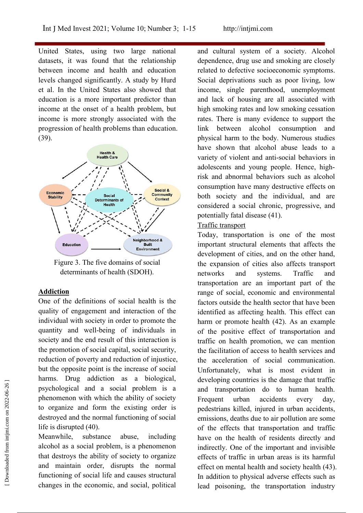United States, using two large national datasets, it was found that the relationship between income and health and education levels changed significantly. A study by Hurd et al. In the United States also showed that education is a more important predictor than income at the onset of a health problem, but income is more strongly associated with the progression of health problems than education. (39).



Figure 3. The five domains of social determinants of health (SDOH).

#### **Addiction**

One of the definitions of social health is the quality of engagement and interaction of the individual with society in order to promote the quantity and well-being of individuals in society and the end result of this interaction is the promotion of social capital, social security, reduction of poverty and reduction of injustice, but the opposite point is the increase of social harms. Drug addiction as a biological, psychological and a social problem is a phenomenon with which the ability of society to organize and form the existing order is destroyed and the normal functioning of social life is disrupted (40).

alcohol as a social problem, is a phenomenon that destroys the ability of society to organize and maintain order, disrupts the normal functioning of social life and causes structural his addition to physical adverse effects such as changes in the economic, and social, political

and cultural system of a society. Alcohol dependence, drug use and smoking are closely related to defective socioeconomic symptoms. Social deprivations such as poor living, low income, single parenthood, unemployment and lack of housing are all associated with high smoking rates and low smoking cessation rates. There is many evidence to support the link between alcohol consumption and physical harm to the body. Numerous studies have shown that alcohol abuse leads to a variety of violent and anti-social behaviors in adolescents and young people. Hence, highrisk and abnormal behaviors such as alcohol consumption have many destructive effects on both society and the individual, and are considered a social chronic, progressive, and potentially fatal disease (41).

#### Traffic transport

Meanwhile, substance abuse, including have on the health of residents directly and Today, transportation is one of the most important structural elements that affects the development of cities, and on the other hand, the expansion of cities also affects transport networks and systems. Traffic and transportation are an important part of the range of social, economic and environmental factors outside the health sector that have been identified as affecting health. This effect can harm or promote health (42). As an example of the positive effect of transportation and traffic on health promotion, we can mention the facilitation of access to health services and the acceleration of social communication. Unfortunately, what is most evident in developing countries is the damage that traffic and transportation do to human health. Frequent urban accidents every day, pedestrians killed, injured in urban accidents, emissions, deaths due to air pollution are some of the effects that transportation and traffic indirectly. One of the important and invisible effects of traffic in urban areas is its harmful effect on mental health and society health (43). In the phenomenon with which the ability of society<br>
phenomenon with which the ability of society<br>
to organize and form the existing order is<br>
destrians killed, injured in urban accidents,<br>
destroyed and the normal functio lead poisoning, the transportation industry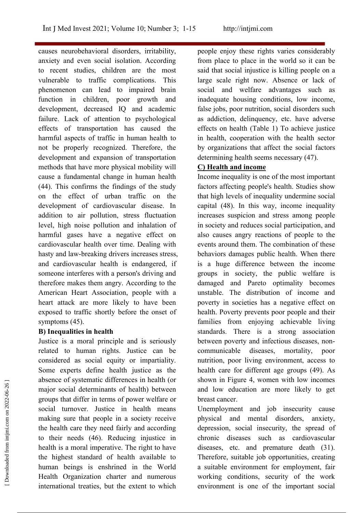causes neurobehavioral disorders, irritability, anxiety and even social isolation. According to recent studies, children are the most vulnerable to traffic complications. This phenomenon can lead to impaired brain function in children, poor growth and development, decreased IQ and academic failure. Lack of attention to psychological effects of transportation has caused the harmful aspects of traffic in human health to not be properly recognized. Therefore, the development and expansion of transportation methods that have more physical mobility will cause a fundamental change in human health (44). This confirms the findings of the study on the effect of urban traffic on the development of cardiovascular disease. In addition to air pollution, stress fluctuation level, high noise pollution and inhalation of harmful gases have a negative effect on cardiovascular health over time. Dealing with hasty and law-breaking drivers increases stress, and cardiovascular health is endangered, if someone interferes with a person's driving and therefore makes them angry. According to the American Heart Association, people with a heart attack are more likely to have been exposed to traffic shortly before the onset of symptoms (45).

# **B) Inequalities in health**

Justice is a moral principle and is seriously related to human rights. Justice can be considered as social equity or impartiality. Some experts define health justice as the absence of systematic differences in health (or major social determinants of health) between groups that differ in terms of power welfare or social turnover. Justice in health means making sure that people in a society receive the health care they need fairly and according to their needs  $(46)$ . Reducing injustice in health is a moral imperative. The right to have the highest standard of health available to human beings is enshrined in the World Health Organization charter and numerous international treaties, but the extent to which environment is one of the important social and a method is one of the internaction and internaction are more likely to get<br>
and internaction and internaction are more likely to get<br>
groups that differ in terms of power welfare or<br>
social turnover. Justice in health

people enjoy these rights varies considerably from place to place in the world so it can be said that social injustice is killing people on a large scale right now. Absence or lack of social and welfare advantages such as inadequate housing conditions, low income, false jobs, poor nutrition, social disorders such as addiction, delinquency, etc. have adverse effects on health (Table 1) To achieve justice in health, cooperation with the health sector by organizations that affect the social factors determining health seems necessary (47).

# **C) Health and income**

Income inequality is one of the most important factors affecting people's health. Studies show that high levels of inequality undermine social capital (48). In this way, income inequality increases suspicion and stress among people in society and reduces social participation, and also causes angry reactions of people to the events around them. The combination of these behaviors damages public health. When there is a huge difference between the income groups in society, the public welfare is damaged and Pareto optimality becomes unstable. The distribution of income and poverty in societies has a negative effect on health. Poverty prevents poor people and their families from enjoying achievable living standards. There is a strong association between poverty and infectious diseases, non communicable diseases, mortality, poor nutrition, poor living environment, access to health care for different age groups (49). As shown in Figure 4, women with low incomes and low education are more likely to get breast cancer.

Unemployment and job insecurity cause physical and mental disorders, anxiety, depression, social insecurity, the spread of chronic diseases such as cardiovascular diseases, etc. and premature death (31). Therefore, suitable job opportunities, creating a suitable environment for employment, fair working conditions, security of the work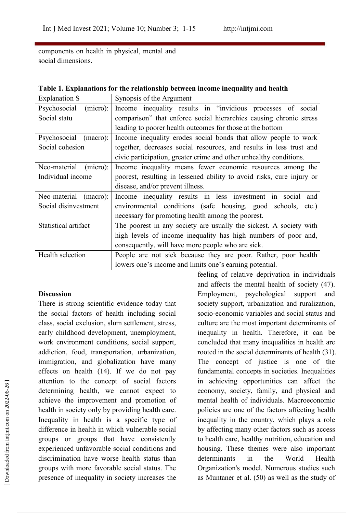components on health in physical, mental and social dimensions.

| <b>Explanation S</b>       | Synopsis of the Argument                                              |
|----------------------------|-----------------------------------------------------------------------|
| Psychosocial<br>(micro):   | Income inequality results in "invidious processes of social           |
| Social statu               | comparison" that enforce social hierarchies causing chronic stress    |
|                            | leading to poorer health outcomes for those at the bottom             |
| Psychosocial<br>$(macc)$ : | Income inequality erodes social bonds that allow people to work       |
| Social cohesion            | together, decreases social resources, and results in less trust and   |
|                            | civic participation, greater crime and other unhealthy conditions.    |
| Neo-material<br>(micro):   | Income inequality means fewer economic resources among the            |
| Individual income          | poorest, resulting in lessened ability to avoid risks, cure injury or |
|                            | disease, and/or prevent illness.                                      |
| Neo-material (macro):      | Income inequality results in less investment in social and            |
| Social disinvestment       | environmental conditions (safe housing, good schools, etc.)           |
|                            | necessary for promoting health among the poorest.                     |
| Statistical artifact       | The poorest in any society are usually the sickest. A society with    |
|                            | high levels of income inequality has high numbers of poor and,        |
|                            | consequently, will have more people who are sick.                     |
| Health selection           | People are not sick because they are poor. Rather, poor health        |
|                            | lowers one's income and limits one's earning potential.               |

| Table 1. Explanations for the relationship between income inequality and health |
|---------------------------------------------------------------------------------|
|                                                                                 |

## **Discussion**

There is strong scientific evidence today that the social factors of health including social class, social exclusion, slum settlement, stress, early childhood development, unemployment, work environment conditions, social support, addiction, food, transportation, urbanization, immigration, and globalization have many effects on health (14). If we do not pay attention to the concept of social factors determining health, we cannot expect to achieve the improvement and promotion of health in society only by providing health care. Inequality in health is a specific type of difference in health in which vulnerable social groups or groups that have consistently experienced unfavorable social conditions and discrimination have worse health status than groups with more favorable social status. The presence of inequality in society increases the as Muntaner et al. (50) as well as the study of

feeling of relative deprivation in individuals and affects the mental health of society  $(47)$ . Employment, psychological support and society support, urbanization and ruralization, socio-economic variables and social status and culture are the most important determinants of inequality in health. Therefore, it can be concluded that many inequalities in health are rooted in the social determinants of health (31). The concept of justice is one of the fundamental concepts in societies. Inequalities in achieving opportunities can affect the economy, society, family, and physical and mental health of individuals. Macroeconomic policies are one of the factors affecting health inequality in the country, which plays a role by affecting many other factors such as access to health care, healthy nutrition, education and housing. These themes were also important determinants in the World Health Organization's model. Numerous studies such attention to the concept of social factors in achieving opportunities can affect the determining health, we cannot expect to economy, society, family, and physical and achieve the improvement and promotion of health of ind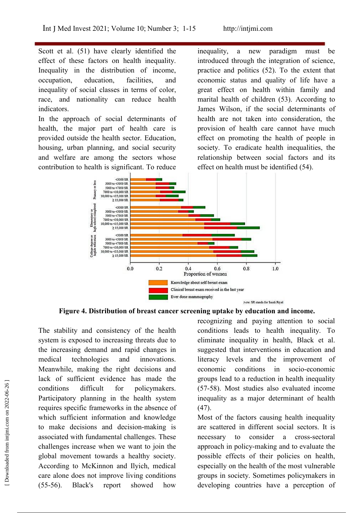Scott et al. (51) have clearly identified the inequality, effect of these factors on health inequality. Inequality in the distribution of income, inequality of social classes in terms of color, race, and nationality can reduce health indicators.

In the approach of social determinants of health, the major part of health care is provided outside the health sector. Education, housing, urban planning, and social security and welfare are among the sectors whose contribution to health is significant. To reduce

occupation, education, facilities, and economic status and quality of life have a a new paradigm must be introduced through the integration of science, practice and politics (52). To the extent that great effect on health within family and marital health of children (53). According to James Wilson, if the social determinants of health are not taken into consideration, the provision of health care cannot have much effect on promoting the health of people in society. To eradicate health inequalities, the relationship between social factors and its effect on health must be identified (54).



**Figure 4. Distribution of breast cancer screening uptake by education and income.**

The stability and consistency of the health system is exposed to increasing threats due to the increasing demand and rapid changes in medical technologies and innovations. Meanwhile, making the right decisions and lack of sufficient evidence has made the conditions difficult for policymakers. Participatory planning in the health system requires specific frameworks in the absence of which sufficient information and knowledge to make decisions and decision-making is associated with fundamental challenges. These challenges increase when we want to join the global movement towards a healthy society. According to McKinnon and Ilyich, medical care alone does not improve living conditions groups in society. Sometimes policymakers in (55-56). Black's report showed how developing countries have a perception of Fraction solutions difficult for policymakers. (57-58). Most studies also evaluated income<br>
Participatory planning in the health system<br>
requality as a major determinant of health<br>
requires specific frameworks in the absen

recognizing and paying attention to social conditions leads to health inequality. To eliminate inequality in health, Black et al. suggested that interventions in education and literacy levels and the improvement of economic conditions in socio-economic groups lead to a reduction in health inequality (57-58). Most studies also evaluated income inequality as a major determinant of health (47).

Most of the factors causing health inequality are scattered in different social sectors. It is to consider a cross-sectoral approach in policy-making and to evaluate the possible effects of their policies on health, especially on the health of the most vulnerable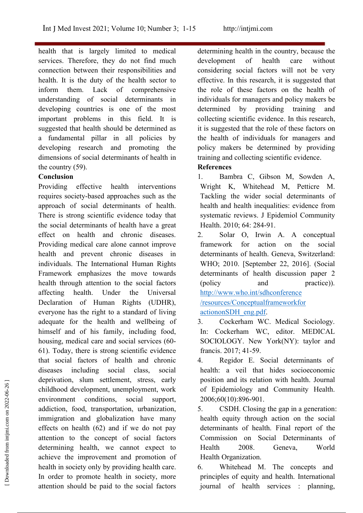health that is largely limited to medical services. Therefore, they do not find much development of connection between their responsibilities and health. It is the duty of the health sector to inform them. Lack of comprehensive understanding of social determinants in developing countries is one of the most important problems in this field. It is suggested that health should be determined as a fundamental pillar in all policies by developing research and promoting the dimensions of social determinants of health in the country (59).

# **Conclusion**

Providing effective health interventions requires society-based approaches such as the approach of social determinants of health. There is strong scientific evidence today that the social determinants of health have a great effect on health and chronic diseases. 2. Providing medical care alone cannot improve health and prevent chronic diseases in individuals. The International Human Rights Framework emphasizes the move towards health through attention to the social factors (policy affecting health. Under the Universal Declaration of Human Rights (UDHR), everyone has the right to a standard of living adequate for the health and wellbeing of 3. himself and of his family, including food, housing, medical care and social services (60- 61). Today, there is strong scientific evidence that social factors of health and chronic diseases including social class, social deprivation, slum settlement, stress, early childhood development, unemployment, work environment conditions, social support, addiction, food, transportation, urbanization, immigration and globalization have many effects on health  $(62)$  and if we do not pay attention to the concept of social factors determining health, we cannot expect to Health 2008. achieve the improvement and promotion of health in society only by providing health care.  $\qquad 6.$ In order to promote health in society, more attention should be paid to the social factors is equivalently in position in the service is planning, deprivation, sium settlement, stress, early position and its relation with nealth. Journal<br>
childhood development, unemployment, work of Epidemiology and Community Health.<br>
environment conditions, social support, 2006;60(1

determining health in the country, because the development of health care without considering social factors will not be very effective. In this research, it is suggested that the role of these factors on the health of individuals for managers and policy makers be determined by providing training and collecting scientific evidence. In this research, it is suggested that the role of these factors on the health of individuals for managers and policy makers be determined by providing training and collecting scientific evidence.

# **References**

- 1. Bambra C, Gibson M, Sowden A, Wright K, Whitehead M, Petticre M. Tackling the wider social determinants of health and health inequalities: evidence from systematic reviews. J Epidemiol Community Health. 2010; 64: 284-91.
- 2. Solar O, Irwin A. A conceptual framework for action on the social determinants of health. Geneva, Switzerland: WHO; 2010. [September 22, 2016]. (Social determinants of health discussion paper 2 and practice)). [http://www.who.int/sdhconference](http://www.who.int/sdhconference%20/resources/Conceptualframeworkfor%20actiononSDH_eng.pdf) /resources/Conceptualframeworkfor actiononSDH\_eng.pdf.
- Cockerham WC. Medical Sociology. In: Cockerham WC, editor. MEDICAL SOCIOLOGY. New York(NY): taylor and francis. 2017; 41-59.
- Regidor E. Social determinants of health: a veil that hides socioeconomic position and its relation with health. Journal of Epidemiology and Community Health. 2006;60(10):896-901.
- CSDH. Closing the gap in a generation: health equity through action on the social determinants of health. Final report of the Commission on Social Determinants of Geneva, World Health Organization.

Whitehead M. The concepts and principles of equity and health. International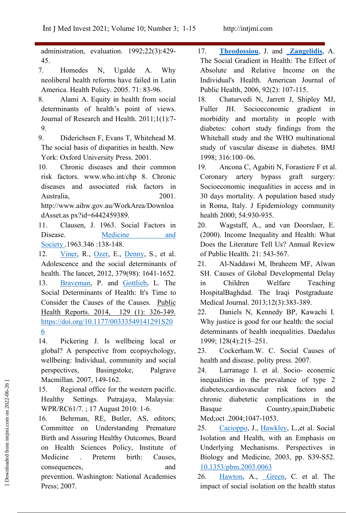administration, evaluation. 1992;22(3):429- 45.

neoliberal health reforms have failed in Latin America. Health Policy. 2005. 71: 83-96.

- 8. Alami A. Equity in health from social determinants of health's point of views. Journal of Research and Health. 2011;1(1):7- 9.
- 9. Diderichsen F, Evans T, Whitehead M. The social basis of disparities in health. New York: Oxford University Press. 2001.
- 10. Chronic diseases and their common risk factors. www.who.int/chp 8. Chronic diseases and associated risk factors in Australia, 2001.

http://www.aihw.gov.au/WorkArea/Downloa dAsset.as px?id=6442459389.

11. Clausen, J. 1963. Social Factors in Society .1963.346 :138-148.

12. [Viner](https://www.sciencedirect.com/science/article/abs/pii/S0140673612601494), R., [Ozer](https://www.sciencedirect.com/science/article/abs/pii/S0140673612601494), E., [Denny](https://www.sciencedirect.com/science/article/abs/pii/S0140673612601494), S., et al. Adolescence and the social determinants of 21. health. The lancet, 2012, 379(98): 1641-1652. 13. [Braveman](https://journals.sagepub.com/action/doSearch?target=default&ContribAuthorStored=Braveman%2C+Paula), P. and [Gottlieb,](https://journals.sagepub.com/action/doSearch?target=default&ContribAuthorStored=Gottlieb%2C+Laura) L. The in Children Social Determinants of Health: It's Time to Consider the Causes of the Causes. Public Health Reports. 2014, 129 (1): 326-349. 22. [https://doi.org/10.1177/00333549141291S20](https://doi.org/10.1177%2F00333549141291S206)  $\overline{6}$ 

14. Pickering J. Is wellbeing local or global? A perspective from ecopsychology, wellbeing: Individual, community and social perspectives, Basingstoke, Palgrave Macmillan. 2007, 149-162.

15. Regional office for the western pacific. Healthy Settings. Putrajaya, Malaysia: WPR/RC61/7. ; 17 August 2010: 1-6.

16. Behrman, RE, Butler, AS, editors; Committee on Understanding Premature 25. Birth and Assuring Healthy Outcomes, Board on Health Sciences Policy, Institute of Medicine . Preterm birth: Causes, prevention. Washington: National Academies Press; 2007. Macmillan. 2007, 149-162.<br>
IS. Regional office for the western pacific.<br>
Healthy Settings. Putrajaya, Malaysia:<br>
Healthy Settings. Putrajaya, Malaysia:<br>
Inthe WPR/RC61/7.; 17 August 2010: 1-6.<br>
Basque Country, spain; Diabe

7. Homedes N, Ugalde A. Why Absolute and Relative Income on the 17. **[Theodossiou](https://www.researchgate.net/profile/Ioannis-Theodossiou)**, J. and **[Zangelidis](https://www.researchgate.net/profile/Alexandros-Zangelidis)**, A. The Social Gradient in Health: The Effect of Individual's Health. American Journal of Public Health, 2006, 92(2): 107-115.

18. Chaturvedi N, Jarrett J, Shipley MJ, JH. Socioeconomic gradient in morbidity and mortality in people with diabetes: cohort study findings from the Whitehall study and the WHO multinational study of vascular disease in diabetes. BMJ 1998; 316:100–06.

Ancona C, Agabiti N, Forastiere F et al. Coronary artery bypass graft surgery: Socioeconomic inequalities in access and in 30 days mortality. A population based study in Roma, Italy. J Epidemiology community health 2000; 54:930-935.

Disease. [Medicine](https://www.jstor.org/stable/i242957?refreqid=excelsior%3A7fd968c08f580329d48755924cd91689) and (2000). Income Inequality and Health: What Wagstaff, A., and van Doorslaer, E. Does the Literature Tell Us? Annual Review of Public Health. 21: 543-567.

> 21. Al-Naddawi M, Ibraheem MF, Alwan SH. Causes of Global Developmental Delay Welfare Teaching HospitalBaghdad. The Iraqi Postgraduate Medical Journal. 2013;12(3):383-389.

> Daniels N, Kennedy BP, Kawachi I. Why justice is good for our health: the social determinants of health inequalities. Daedalus 1999; 128(4):215–251.

> Cockerham.W. C. Social Causes of health and disease. polity press. 2007.

> Larranage I. et al. Socio- econemic inequalities in the prevalance of type 2 diabetes,cardiovascular risk factors and chronic diabetetic complications in the Basque Country,spain;Diabetic Med; oct .2004; 1047-1053.

 $consequences,$  and  $\frac{10.1353/\text{pbm}.2003.0063}{10.1353/\text{pbm}.2003.0063}$ [Cacioppo,](https://muse.jhu.edu/search?action=search&query=author:John%20T.%20Cacioppo:and&min=1&max=10&t=query_term) J., [Hawkley,](https://muse.jhu.edu/search?action=search&query=author:Louise%20C.%20Hawkley:and&min=1&max=10&t=query_term) L.,et al. Social Isolation and Health, with an Emphasis on Underlying Mechanisms. Perspectives in Biology and Medicine, 2003, pp. S39-S52.

[Hawton,](https://link.springer.com/article/10.1007/s11136-010-9717-2) A., [Green](https://link.springer.com/article/10.1007/s11136-010-9717-2), C. et al. The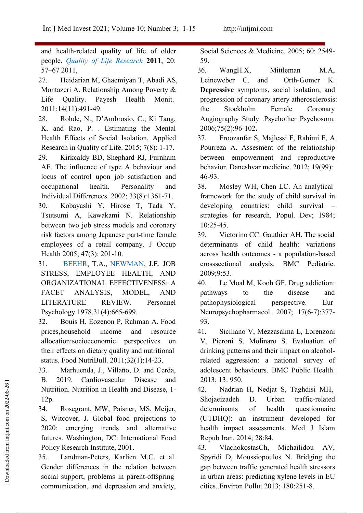and health-related quality of life of older people. *Quality of Life [Research](https://link.springer.com/journal/11136)* **2011**, 20: 57–67 2011,

- 27. Heidarian M, Ghaemiyan T, Abadi AS, Montazeri A. Relationship Among Poverty & Life Quality. Payesh Health Monit. 2011;14(11):491-49.
- 28. Rohde, N.; D'Ambrosio, C.; Ki Tang, K. and Rao, P. . Estimating the Mental Health Effects of Social Isolation, Applied 37. Research in Quality of Life. 2015; 7(8): 1-17.
- 29. Kirkcaldy BD, Shephard RJ, Furnham AF. The influence of type A behaviour and locus of control upon job satisfaction and occupational health. Personality and Individual Differences. 2002; 33(8):1361-71.
- 30. Kobayashi Y, Hirose T, Tada Y, Tsutsumi A, Kawakami N. Relationship between two job stress models and coronary risk factors among Japanese part-time female employees of a retail company. J Occup Health 2005; 47(3): 201-10.

31. [BEEHR](https://onlinelibrary.wiley.com/action/doSearch?ContribAuthorStored=BEEHR%2C+TERRY+A), T.A., [NEWMAN](https://onlinelibrary.wiley.com/action/doSearch?ContribAuthorStored=NEWMAN%2C+JOHN+E), J.E. JOB STRESS, EMPLOYEE HEALTH, AND ORGANIZATIONAL EFFECTIVENESS: A FACET ANALYSIS, MODEL, AND LITERATURE REVIEW. Personnel Psychology.1978,31(4):665-699.

- 32. Bouis H, Eozenon P, Rahman A. Food prices,household income and resource allocation:socioeconomic perspectives on their effects on dietary quality and nutritional status. Food NutriBull. 2011;32(1):14-23.
- 33. Marhuenda, J., Villaño, D. and Cerda, B. 2019. Cardiovascular Disease and Nutrition. Nutrition in Health and Disease, 1- 12p.

34. Rosegrant, MW, Paisner, MS, Meijer, S, Witcover, J. Global food projections to 2020: emerging trends and alternative futures. Washington, DC: International Food Policy Research Institute, 2001.

35. Landman-Peters, Karlien M.C. et al. Gender differences in the relation between social support, problems in parent-offspring communication, and depression and anxiety, cities. Environ Pollut 2013; 180:251-8.

Social Sciences & Medicine. 2005; 60: 2549- 59.

- 36. WangH.X, Mittleman M.A, Leineweber C. and Orth-Gomer K. **Depressive** symptoms, social isolation, and progression of coronary artery atherosclerosis: the Stockholm Female Coronary Angiography Study .Psychother Psychosom. 2006;75(2):96-102**.**
- 37. Froozanfar S, Majlessi F, Rahimi F, A Pourreza A. Assesment of the relationship between empowerment and reproductive behavior. Daneshvar medicine. 2012; 19(99): 46-93.
- Mosley WH, Chen LC. An analytical framework for the study of child survival in developing countries: child survival strategies for research. Popul. Dev; 1984; 10:25-45.
- 39. Victorino CC. Gauthier AH. The social determinants of child health: variations across health outcomes - a population-based crosssectional analysis. BMC Pediatric. 2009;9:53.
- Le Moal M, Kooh GF. Drug addiction: pathways to the disease and pathophysiological perspective. Eur Neuropsychopharmacol. 2007; 17(6-7):377- 93.
- 41. Siciliano V, Mezzasalma L, Lorenzoni V, Pieroni S, Molinaro S. Evaluation of drinking patterns and their impact on alcoholrelated aggression: a national survey of adolescent behaviours. BMC Public Health. 2013; 13: 950.
- Nadrian H, Nedjat S, Taghdisi MH, Shojaeizadeh D. Urban traffic-related of health questionnaire (UTDHQ): an instrument developed for health impact assessments. Med J Islam Repub Iran. 2014; 28:84. B. 2019. Cardiovascular Disease and 2013; 13: 950.<br>
Nutrition. Nutrition in Health and Disease, 1-<br>
12p. Shojaeizadeh D. Urban traffic-re<br>
134. Rosegrant, MW, Paisner, MS, Meijer, determinants of health question<br>
5. Witcov
	- 43. VlachokostasCh, Michailidou AV, Spyridi D, Moussiopoulos N. Bridging the gap between traffic generated health stressors in urban areas: predicting xylene levels in EU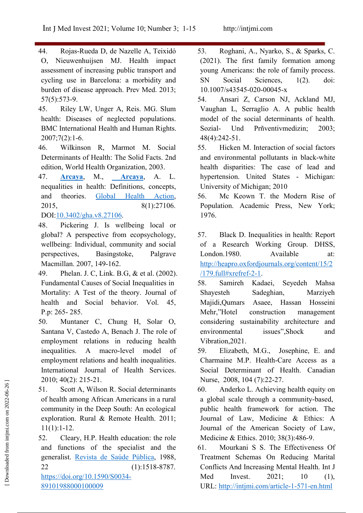- 44. Rojas-Rueda D, de Nazelle A, Teixidó O, Nieuwenhuijsen MJ. Health impact assessment of increasing public transport and cycling use in Barcelona: a morbidity and burden of disease approach. Prev Med. 2013; 57(5):573-9.
- 45. Riley LW, Unger A, Reis. MG. Slum health: Diseases of neglected populations. BMC International Health and Human Rights. 2007;7(2):1-6.
- 46. Wilkinson R, Marmot M. Social Determinants of Health: The Solid Facts. 2nd edition, World Health Organization, 2003.
- 47. **[Arcaya](https://www.researchgate.net/profile/Mariana-Arcaya)**, M., **[Arcaya](https://www.researchgate.net/scientific-contributions/Alyssa-L-Arcaya-2076923804)**, A. L. nequalities in health: Definitions, concepts, and theories. Global Health [Action,](https://www.researchgate.net/journal/Global-Health-Action-1654-9880) 2015, 8(1):27106.
- DOI:[10.3402/gha.v8.27106.](http://dx.doi.org/10.3402/gha.v8.27106)
- 48. Pickering J. Is wellbeing local or global? A perspective from ecopsychology, wellbeing: Individual, community and social perspectives, Basingstoke, Palgrave Macmillan. 2007, 149-162.
- 49. Phelan. J. C, Link. B.G, & et al. (2002). Fundamental Causes of Social Inequalities in Mortality: A Test of the theory. Journal of health and Social behavior. Vol. 45, P.p: 265- 285.
- 50. Muntaner C, Chung H, Solar O, Santana V, Castedo A, Benach J. The role of employment relations in reducing health inequalities. A macro-level model of 59. Elizabeth, M.G., employment relations and health inequalities. International Journal of Health Services. 2010; 40(2): 215-21.
- 51. Scott A, Wilson R. Social determinants of health among African Americans in a rural community in the Deep South: An ecological exploration. Rural & Remote Health. 2011; 11(1):1-12.

52. Cleary, H.P. Health education: the role and functions of the specialist and the generalist. Revista de Saúde [Pública,](http://www.scielo.br/scielo.php?script=sci_serial&pid=0034-8910&lng=en&nrm=iso) 1988, 22 (1):1518-8787. [https://doi.org/10.1590/S0034-](https://doi.org/10.1590/S0034-89101988000100009) 89101988000100009

- 53. Roghani, A., Nyarko, S., & Sparks, C. (2021). The first family formation among young Americans: the role of family process. Sciences,  $1(2)$ . doi: 10.1007/s43545-020-00045-x
- 54. Ansari Z, Carson NJ, Ackland MJ, Vaughan L, Serraglio A. A public health model of the social determinants of health. Und Prñventivmedizin: 2003; 48(4):242-51.
- Hicken M. Interaction of social factors and environmental pollutants in black-white health disparities: The case of lead and hypertension. United States - Michigan: University of Michigan; 2010
- Mc Keown T. the Modern Rise of Population. Academic Press, New York; 1976.

57. Black D. Inequalities in health: Report of a Research Working Group. DHSS, London.1980. Available at: [http://heapro.oxfordjournals.org/content/15/2](http://heapro.oxfordjournals.org/content/15/2/179.full) /179.full#xrefref-2-1.

- Samireh Kadaei, Seyedeh Mahsa Sadeghian, Marziyeh Majidi,Qumars Asaee, Hassan Hosseini Mehr,"Hotel construction management considering sustainability architecture and issues",Shock and Vibration,2021.
- Josephine, E. and Charmaine M.P. Health-Care Access as a Social Determinant of Health. Canadian Nurse, 2008, 104 (7):22-27.
- Anderko L. Achieving health equity on a global scale through a community-based, public health framework for action. The Journal of Law, Medicine & Ethics: A Journal of the American Society of Law, Medicine & Ethics. 2010; 38(3):486-9. 2010; 40(2): 213-21.<br>
51. Scott A, Wilson R. Social determinants<br>
of health among African Americans in a rural a global scale through a community-based,<br>
community in the Deep South: An ecological public health framework
	- Mourkani S S. The Effectiveness Of Treatment Schemas On Reducing Marital Conflicts And Increasing Mental Health. Int J Med Invest. 2021; 10 (1),